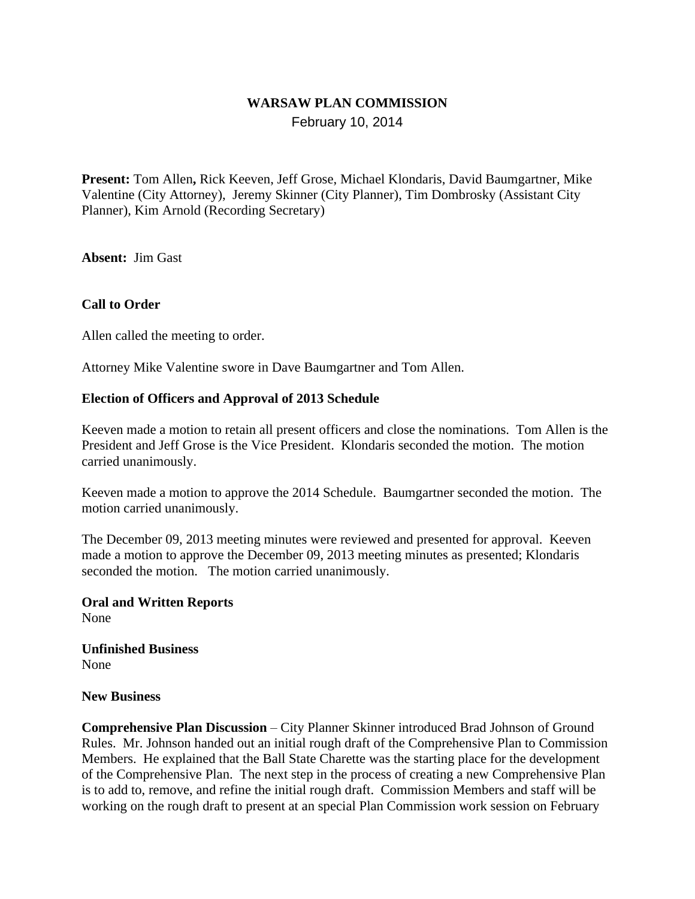# **WARSAW PLAN COMMISSION**

February 10, 2014

**Present:** Tom Allen**,** Rick Keeven, Jeff Grose, Michael Klondaris, David Baumgartner, Mike Valentine (City Attorney), Jeremy Skinner (City Planner), Tim Dombrosky (Assistant City Planner), Kim Arnold (Recording Secretary)

**Absent:** Jim Gast

### **Call to Order**

Allen called the meeting to order.

Attorney Mike Valentine swore in Dave Baumgartner and Tom Allen.

#### **Election of Officers and Approval of 2013 Schedule**

Keeven made a motion to retain all present officers and close the nominations. Tom Allen is the President and Jeff Grose is the Vice President. Klondaris seconded the motion. The motion carried unanimously.

Keeven made a motion to approve the 2014 Schedule. Baumgartner seconded the motion. The motion carried unanimously.

The December 09, 2013 meeting minutes were reviewed and presented for approval. Keeven made a motion to approve the December 09, 2013 meeting minutes as presented; Klondaris seconded the motion. The motion carried unanimously.

**Oral and Written Reports** None

**Unfinished Business** None

#### **New Business**

**Comprehensive Plan Discussion** – City Planner Skinner introduced Brad Johnson of Ground Rules. Mr. Johnson handed out an initial rough draft of the Comprehensive Plan to Commission Members. He explained that the Ball State Charette was the starting place for the development of the Comprehensive Plan. The next step in the process of creating a new Comprehensive Plan is to add to, remove, and refine the initial rough draft. Commission Members and staff will be working on the rough draft to present at an special Plan Commission work session on February